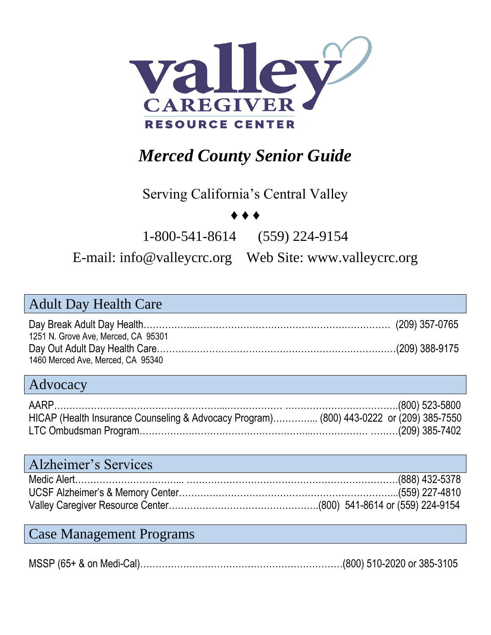

# *Merced County Senior Guide*

#### Serving California's Central Valley

#### ♦ ♦ ♦

1-800-541-8614 (559) 224-9154

#### E-mail: [info@valleycrc.org](mailto:info@valleycrc.org) Web Site: www.valleycrc.org

| <b>Adult Day Health Care</b>                                                                                            |                         |
|-------------------------------------------------------------------------------------------------------------------------|-------------------------|
|                                                                                                                         |                         |
| 1251 N. Grove Ave, Merced, CA 95301<br>1460 Merced Ave, Merced, CA 95340                                                |                         |
| Advocacy                                                                                                                |                         |
| HICAP (Health Insurance Counseling & Advocacy Program) (800) 443-0222 or (209) 385-7550<br>209) 385-7402 (209) 385-7402 |                         |
| <b>Alzheimer's Services</b>                                                                                             |                         |
|                                                                                                                         |                         |
|                                                                                                                         | $ EEN \rangle$ 007 1010 |

#### Case Management Programs

MSSP (65+ & on Medi-Cal)…………………………………………………………(800) 510-2020 or 385-3105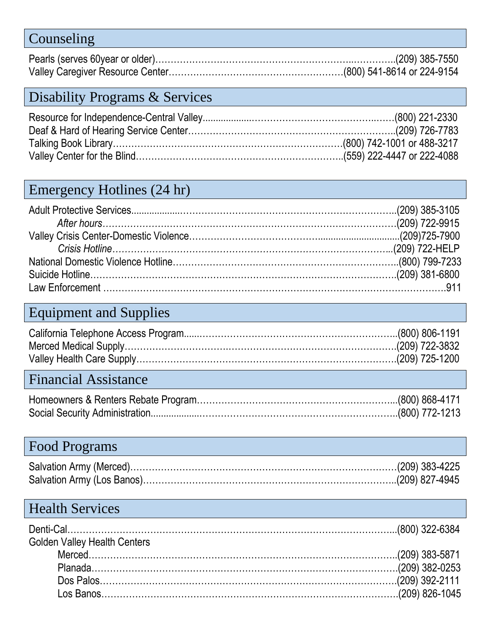| Counseling |  |
|------------|--|
|            |  |
|            |  |

### Disability Programs & Services

### Emergency Hotlines (24 hr)

| 199-7233 (800) 799-7233 (800) 799-7233 |  |
|----------------------------------------|--|
|                                        |  |
|                                        |  |

## Equipment and Supplies

### Financial Assistance

### Food Programs

### Health Services

| .000) 322-6384 (800) 322-6384       |  |
|-------------------------------------|--|
| <b>Golden Valley Health Centers</b> |  |
|                                     |  |
|                                     |  |
|                                     |  |
|                                     |  |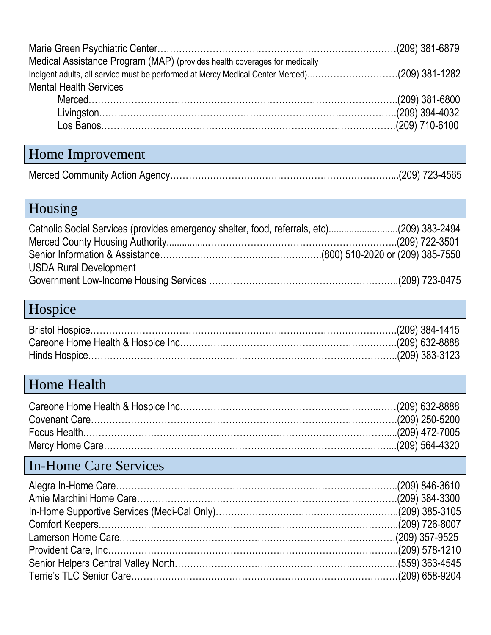| Medical Assistance Program (MAP) (provides health coverages for medically                    |  |
|----------------------------------------------------------------------------------------------|--|
| Indigent adults, all service must be performed at Mercy Medical Center Merced)(209) 381-1282 |  |
| <b>Mental Health Services</b>                                                                |  |
|                                                                                              |  |
|                                                                                              |  |
|                                                                                              |  |
|                                                                                              |  |

### Home Improvement

# Housing

| Catholic Social Services (provides emergency shelter, food, referrals, etc)(209) 383-2494 |  |
|-------------------------------------------------------------------------------------------|--|
|                                                                                           |  |
| <b>USDA Rural Development</b>                                                             |  |

## Hospice

## Home Health

## In-Home Care Services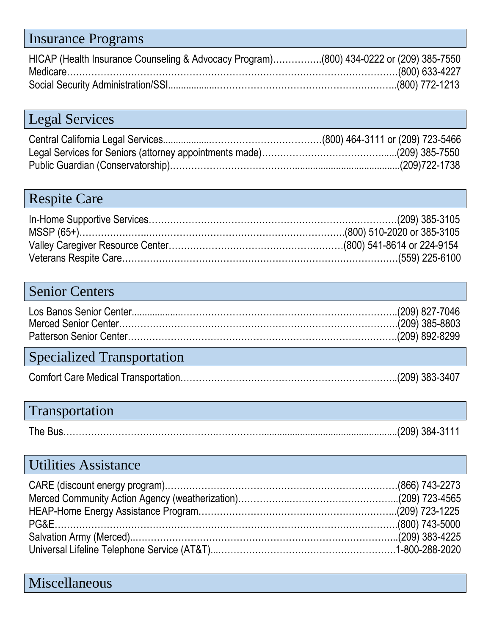### Insurance Programs

| HICAP (Health Insurance Counseling & Advocacy Program)(800) 434-0222 or (209) 385-7550 |  |
|----------------------------------------------------------------------------------------|--|
|                                                                                        |  |
|                                                                                        |  |

### Legal Services

### Respite Care

#### Senior Centers

### Specialized Transportation

### Transportation

|--|--|--|--|--|--|

### Utilities Assistance

#### Miscellaneous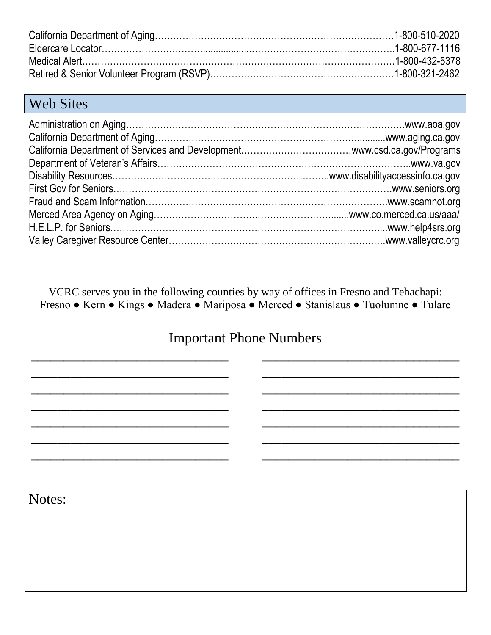#### Web Sites

VCRC serves you in the following counties by way of offices in Fresno and Tehachapi: Fresno ● Kern ● Kings ● Madera ● Mariposa ● Merced ● Stanislaus ● Tuolumne ● Tulare

#### Important Phone Numbers

\_\_\_\_\_\_\_\_\_\_\_\_\_\_\_\_\_\_\_\_\_\_\_\_\_\_\_\_\_\_

\_\_\_\_\_\_\_\_\_\_\_\_\_\_\_\_\_\_\_\_\_\_\_\_\_\_\_\_\_\_

\_\_\_\_\_\_\_\_\_\_\_\_\_\_\_\_\_\_\_\_\_\_\_\_\_\_\_\_\_\_

\_\_\_\_\_\_\_\_\_\_\_\_\_\_\_\_\_\_\_\_\_\_\_\_\_\_\_\_\_\_

\_\_\_\_\_\_\_\_\_\_\_\_\_\_\_\_\_\_\_\_\_\_\_\_\_\_\_\_\_\_

\_\_\_\_\_\_\_\_\_\_\_\_\_\_\_\_\_\_\_\_\_\_\_\_\_\_\_\_\_\_

\_\_\_\_\_\_\_\_\_\_\_\_\_\_\_\_\_\_\_\_\_\_\_\_\_\_\_\_\_\_

Notes:

 $\frac{1}{2}$  , the set of the set of the set of the set of the set of the set of the set of the set of the set of the set of the set of the set of the set of the set of the set of the set of the set of the set of the set of

 $\frac{1}{2}$  , the set of the set of the set of the set of the set of the set of the set of the set of the set of the set of the set of the set of the set of the set of the set of the set of the set of the set of the set of

 $\frac{1}{2}$  , the set of the set of the set of the set of the set of the set of the set of the set of the set of the set of the set of the set of the set of the set of the set of the set of the set of the set of the set of

 $\frac{1}{2}$  , the set of the set of the set of the set of the set of the set of the set of the set of the set of the set of the set of the set of the set of the set of the set of the set of the set of the set of the set of

 $\_$ 

 $\frac{1}{2}$  , the set of the set of the set of the set of the set of the set of the set of the set of the set of the set of the set of the set of the set of the set of the set of the set of the set of the set of the set of

\_\_\_\_\_\_\_\_\_\_\_\_\_\_\_\_\_\_\_\_\_\_\_\_\_\_\_\_\_\_